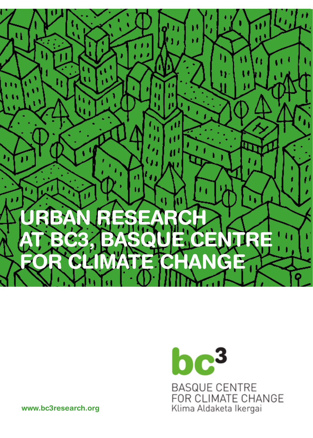

# $bc<sup>3</sup>$ **BASQUE CENTRE** FOR CLIMATE CHANGE Klima Aldaketa Ikergai

www.bc3research.org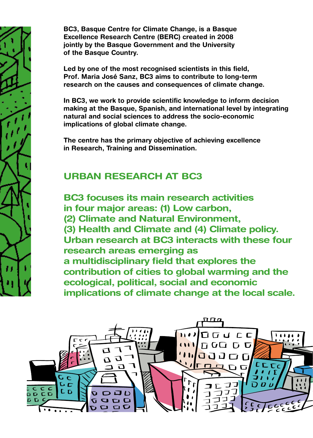BC3, Basque Centre for Climate Change, is a Basque Excellence Research Centre (BERC) created in 2008 jointly by the Basque Government and the University of the Basque Country.

Led by one of the most recognised scientists in this field, Prof. Maria José Sanz, BC3 aims to contribute to long-term research on the causes and consequences of climate change.

In BC3, we work to provide scientific knowledge to inform decision making at the Basque, Spanish, and international level by integrating natural and social sciences to address the socio-economic implications of global climate change.

The centre has the primary objective of achieving excellence in Research, Training and Dissemination.

# URBAN RESEARCH AT BC3

BC3 focuses its main research activities in four major areas: (1) Low carbon, (2) Climate and Natural Environment, (3) Health and Climate and (4) Climate policy. Urban research at BC3 interacts with these four research areas emerging as a multidisciplinary field that explores the contribution of cities to global warming and the ecological, political, social and economic implications of climate change at the local scale.

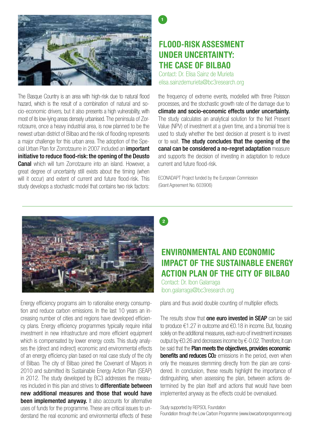

The Basque Country is an area with high-risk due to natural flood hazard, which is the result of a combination of natural and socio-economic drivers, but it also presents a high vulnerability, with most of its low-lying areas densely urbanised. The peninsula of Zorrotzaurre, once a heavy industrial area, is now planned to be the newest urban district of Bilbao and the risk of flooding represents a major challenge for this urban area. The adoption of the Special Urban Plan for Zorrotzaurre in 2007 included an *important* initiative to reduce flood-risk: the opening of the Deusto **Canal** which will turn Zorrotzaurre into an island. However, a great degree of uncertainty still exists about the timing (when will it occur) and extent of current and future flood-risk. This study develops a stochastic model that contains two risk factors:

#### FLOOD-RISK ASSESMENT UNDER UNCERTAINTY: THE CASE OF BILBAO

Contact: Dr. Elisa Sainz de Murieta elisa.sainzdemurieta@bc3research.org

the frequency of extreme events, modelled with three Poisson processes, and the stochastic growth rate of the damage due to climate and socio-economic effects under uncertainty. The study calculates an analytical solution for the Net Present Value (NPV) of investment at a given time, and a binomial tree is used to study whether the best decision at present is to invest or to wait. The study concludes that the opening of the canal can be considered a no-regret adaptation measure and supports the decision of investing in adaptation to reduce current and future flood-risk.

ECONADAPT Project funded by the European Commission (Grant Agreement No. 603906)



Energy efficiency programs aim to rationalise energy consumption and reduce carbon emissions. In the last 10 years an increasing number of cities and regions have developed efficiency plans. Energy efficiency programmes typically require initial investment in new infrastructure and more efficient equipment which is compensated by lower energy costs. This study analyses the (direct and indirect) economic and environmental effects of an energy efficiency plan based on real case study of the city of Bilbao. The city of Bilbao joined the Covenant of Mayors in 2010 and submitted its Sustainable Energy Action Plan (SEAP) in 2012. The study developed by BC3 addresses the measures included in this plan and strives to **differentiate between** new additional measures and those that would have been implemented anyway. It also accounts for alternative uses of funds for the programme. These are critical issues to understand the real economic and environmental effects of these

2

1

# ENVIRONMENTAL AND ECONOMIC IMPACT OF THE SUSTAINABLE ENERGY ACTION PLAN OF THE CITY OF BILBAO

Contact: Dr. Ibon Galarraga ibon.galarraga@bc3research.org

plans and thus avoid double counting of multiplier effects.

The results show that one euro invested in SEAP can be said to produce €1.27 in outcome and €0.18 in income. But, focusing solely on the additional measures, each euro of investment increases output by €0.26 and decreases income by €-0.02. Therefore, it can be said that the Plan meets the objectives, provides economic **benefits and reduces CO2** emissions in the period, even when only the measures stemming directly from the plan are considered. In conclusion, these results highlight the importance of distinguishing, when assessing the plan, between actions determined by the plan itself and actions that would have been implemented anyway as the effects could be overvalued.

Study supported by REPSOL Foundation

Foundation through the Low Carbon Programme (www.lowcarbonprogramme.org)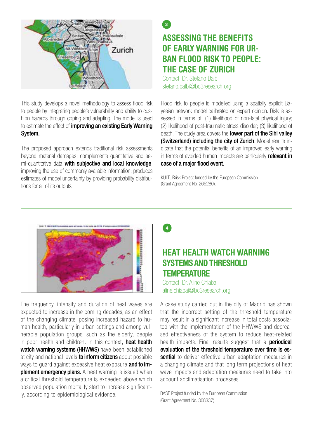

This study develops a novel methodology to assess flood risk to people by integrating people's vulnerability and ability to cushion hazards through coping and adapting. The model is used to estimate the effect of *improving an existing Early Warning* System.

The proposed approach extends traditional risk assessments beyond material damages; complements quantitative and semi-quantitative data with subjective and local knowledge, improving the use of commonly available information; produces estimates of model uncertainty by providing probability distributions for all of its outputs.

### ASSESSING THE BENEFITS OF EARLY WARNING FOR UR-**BAN FLOOD RISK TO PEOPLE:** THE CASE OF ZURICH  $\mathbf{a}$

Contact: Dr. Stefano Balbi stefano.balbi@bc3research.org

Flood risk to people is modelled using a spatially explicit Bayesian network model calibrated on expert opinion. Risk is assessed in terms of: (1) likelihood of non-fatal physical injury; (2) likelihood of post-traumatic stress disorder; (3) likelihood of death. The study area covers the **lower part of the Sihl valley** (Switzerland) including the city of Zurich. Model results indicate that the potential benefits of an improved early warning in terms of avoided human impacts are particularly **relevant in** case of a major flood event.

KULTURrisk Project funded by the European Commission (Grant Agreement No. 265280).



The frequency, intensity and duration of heat waves are expected to increase in the coming decades, as an effect of the changing climate, posing increased hazard to human health, particularly in urban settings and among vulnerable population groups, such as the elderly, people in poor health and children. In this context, **heat health** watch warning systems (HHWWS) have been established at city and national levels **to inform citizens** about possible ways to quard against excessive heat exposure and to im**plement emergency plans.** A heat warning is issued when a critical threshold temperature is exceeded above which observed population mortality start to increase significantly, according to epidemiological evidence.



#### HEAT HEALTH WATCH WARNING SYSTEMS AND THRESHOLD **TEMPERATURE**

Contact: Dr. Aline Chiabai aline.chiabai@bc3research.org

A case study carried out in the city of Madrid has shown that the incorrect setting of the threshold temperature may result in a significant increase in total costs associated with the implementation of the HHWWS and decreased effectiveness of the system to reduce heat-related health impacts. Final results suggest that a **periodical** evaluation of the threshold temperature over time is essential to deliver effective urban adaptation measures in a changing climate and that long term projections of heat wave impacts and adaptation measures need to take into account acclimatisation processes.

BASE Project funded by the European Commission (Grant Agreement No. 308337)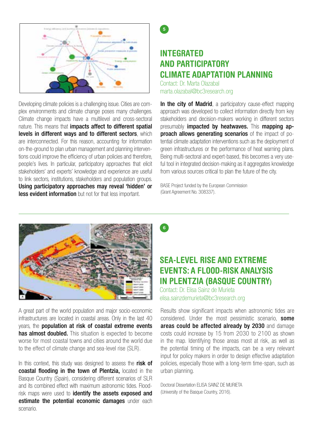

Developing climate policies is a challenging issue. Cities are complex environments and climate change poses many challenges. Climate change impacts have a multilevel and cross-sectoral nature. This means that *impacts affect to different spatial* levels in different wavs and to different sectors, which are interconnected. For this reason, accounting for information on-the-ground to plan urban management and planning interventions could improve the efficiency of urban policies and therefore, people's lives. In particular, participatory approaches that elicit stakeholders' and experts' knowledge and experience are useful to link sectors, institutions, stakeholders and population groups. Using participatory approaches may reveal 'hidden' or **less evident information** but not for that less important.

5

# INTEGRATED AND PARTICIPATORY CLIMATE ADAPTATION PLANNING

Contact: Dr. Marta Olazabal marta.olazabal@bc3research.org

In the city of Madrid, a participatory cause-effect mapping approach was developed to collect information directly from key stakeholders and decision-makers working in different sectors presumably **impacted by heatwaves.** This mapping ap**proach allows generating scenarios** of the impact of potential climate adaptation interventions such as the deployment of green infrastructures or the performance of heat warning plans. Being multi-sectoral and expert-based, this becomes a very useful tool in integrated decision-making as it aggregates knowledge from various sources critical to plan the future of the city.

BASE Project funded by the European Commission (Grant Agreement No. 308337).



A great part of the world population and major socio-economic infrastructures are located in coastal areas. Only in the last 40 years, the population at risk of coastal extreme events has almost doubled. This situation is expected to become worse for most coastal towns and cities around the world due to the effect of climate change and sea-level rise (SLR).

In this context, this study was designed to assess the risk of coastal flooding in the town of Plentzia, located in the Basque Country (Spain), considering different scenarios of SLR and its combined effect with maximum astronomic tides. Floodrisk maps were used to **identify the assets exposed and** estimate the potential economic damages under each scenario.



#### SEA-LEVEL RISE AND EXTREME EVENTS: A FLOOD-RISK ANALYSIS IN PLENTZIA (BASQUE COUNTRY)

Contact: Dr. Elisa Sainz de Murieta elisa.sainzdemurieta@bc3research.org

Results show significant impacts when astronomic tides are considered. Under the most pessimistic scenario. **some** areas could be affected already by 2030 and damage costs could increase by 15 from 2030 to 2100 as shown in the map. Identifying those areas most at risk, as well as the potential timing of the impacts, can be a very relevant input for policy makers in order to design effective adaptation policies, especially those with a long-term time-span, such as urban planning.

Doctoral Dissertation ELISA SAINZ DE MURIETA (University of the Basque Country, 2016).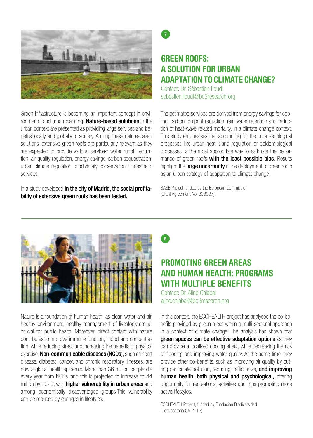

Green infrastructure is becoming an important concept in environmental and urban planning. **Nature-based solutions** in the urban context are presented as providing large services and benefits locally and globally to society. Among these nature-based solutions, extensive green roofs are particularly relevant as they are expected to provide various services: water runoff regulation, air quality regulation, energy savings, carbon sequestration, urban climate regulation, biodiversity conservation or aesthetic services.

In a study developed in the city of Madrid, the social profitability of extensive green roofs has been tested.

### GREEN ROOFS: A SOLUTION FOR URBAN **ADAPTATION TO CLIMATE CHANGE?**

Contact: Dr. Sébastien Foudi sebastien.foudi@bc3research.org

The estimated services are derived from energy savings for cooling, carbon footprint reduction, rain water retention and reduction of heat-wave related mortality, in a climate change context. This study emphasises that accounting for the urban-ecological processes like urban heat island regulation or epidemiological processes, is the most appropriate way to estimate the performance of green roofs with the least possible bias. Results highlight the large uncertainty in the deployment of green roofs as an urban strategy of adaptation to climate change.

BASE Project funded by the European Commission (Grant Agreement No. 308337).



Nature is a foundation of human health, as clean water and air, healthy environment, healthy management of livestock are all crucial for public health. Moreover, direct contact with nature contributes to improve immune function, mood and concentration, while reducing stress and increasing the benefits of physical exercise. **Non-communicable diseases (NCDs**), such as heart disease, diabetes, cancer, and chronic respiratory illnesses, are now a global health epidemic. More than 36 million people die every year from NCDs, and this is projected to increase to 44 million by 2020, with **higher vulnerability in urban areas** and among economically disadvantaged groups.This vulnerability can be reduced by changes in lifestyles..

 $\mathbf{a}$ 

## PROMOTING GREEN AREAS AND HUMAN HEALTH: PROGRAMS WITH MIIITIPI F RENEFITS

Contact: Dr. Aline Chiabai aline.chiabai@bc3research.org

In this context, the ECOHEALTH project has analysed the co-benefits provided by green areas within a multi-sectorial approach in a context of climate change. The analysis has shown that green spaces can be effective adaptation options as they can provide a localised cooling effect, while decreasing the risk of flooding and improving water quality. At the same time, they provide other co-benefits, such as improving air quality by cutting particulate pollution, reducing traffic noise, and improving human health, both physical and psychological, offering opportunity for recreational activities and thus promoting more active lifestyles.

ECOHEALTH Project, funded by Fundación Biodiversidad (Convocatoria CA 2013)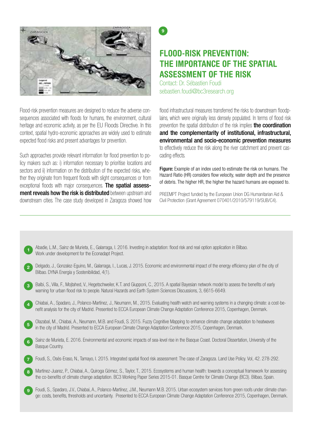

Flood-risk prevention measures are designed to reduce the adverse consequences associated with floods for humans, the environment, cultural heritage and economic activity, as per the EU Floods Directive. In this context, spatial hydro-economic approaches are widely used to estimate expected flood risks and present advantages for prevention.

Such approaches provide relevant information for flood prevention to policy makers such as: i) information necessary to prioritise locations and sectors and ii) information on the distribution of the expected risks, whether they originate from frequent floods with slight consequences or from exceptional floods with major consequences. The spatial assessment reveals how the risk is distributed between upstream and downstream cities. The case study developed in Zaragoza showed how

# FLOOD-RISK PREVENTION: THE IMPORTANCE OF THE SPATIAL ASSESSMENT OF THE RISK

Contact: Dr. Sébastien Foudi sebastien.foudi@bc3research.org

້ງ

flood infrastructural measures transferred the risks to downstream floodplains, which were originally less densely populated. In terms of flood risk prevention the spatial distribution of the risk implies **the coordination** and the complementarity of institutional, infrastructural, environmental and socio-economic prevention measures to effectively reduce the risk along the river catchment and prevent cascading effects.

Figure: Example of an index used to estimate the risk on humans. The Hazard Ratio (HR) considers flow velocity, water depth and the presence of debris. The higher HR, the higher the hazard humans are exposed to.

PREEMPT Project funded by the European Union DG Humanitarian Aid & Civil Protection (Grant Agreement 070401/2010/579119/SUB/C4).

|                | Abadie, L.M., Sainz de Murieta, E., Galarraga, I. 2016. Investing in adaptation: flood risk and real option application in Bilbao.<br>Work under development for the Econadapt Project.                                                                                                        |
|----------------|------------------------------------------------------------------------------------------------------------------------------------------------------------------------------------------------------------------------------------------------------------------------------------------------|
| $\overline{2}$ | Delgado, J., Gonzalez-Eguino, M., Galarraga, I., Lucas, J. 2015. Economic and environmental impact of the energy efficiency plan of the city of<br>Bilbao. DYNA Energía y Sostenibilidad, 4(1).                                                                                                |
| $\overline{3}$ | Balbi, S., Villa, F., Mojtahed, V., Hegetschweiler, K.T. and Giupponi, C., 2015. A spatial Bayesian network model to assess the benefits of early<br>warning for urban flood risk to people. Natural Hazards and Earth System Sciences Discussions, 3, 6615-6649.                              |
| $\overline{a}$ | Chiabai, A., Spadaro, J., Polanco-Martínez, J., Neumann, M., 2015. Evaluating health watch and warning systems in a changing climate: a cost-be-<br>nefit analysis for the city of Madrid. Presented to ECCA European Climate Change Adaptation Conference 2015, Copenhagen, Denmark.          |
| 5 <sup>5</sup> | Olazabal, M., Chiabai, A., Neumann, M.B. and Foudi, S. 2015. Fuzzy Cognitive Mapping to enhance climate change adaptation to heatwaves<br>in the city of Madrid. Presented to ECCA European Climate Change Adaptation Conference 2015, Copenhagen, Denmark.                                    |
| 6              | Sainz de Murieta, E. 2016. Environmental and economic impacts of sea-level rise in the Basque Coast. Doctoral Dissertation, University of the<br>Basque Country.                                                                                                                               |
|                | Foudi, S., Osés-Eraso, N., Tamayo, I. 2015. Integrated spatial flood risk assessment: The case of Zaragoza. Land Use Policy. Vol, 42. 278-292.                                                                                                                                                 |
| -8             | Martinez-Juarez, P., Chiabai, A., Quiroga Gómez, S., Taylor, T., 2015. Ecosystems and human health: towards a conceptual framework for assessing<br>the co-benefits of climate change adaptation. BC3 Working Paper Series 2015-01. Basque Centre for Climate Change (BC3). Bilbao, Spain.     |
| 9              | Foudi, S., Spadaro, J.V., Chiabai, A., Polanco-Martínez, J.M., Neumann M.B. 2015. Urban ecosystem services from green roofs under climate chan-<br>ge: costs, benefits, thresholds and uncertainty. Presented to ECCA European Climate Change Adaptation Conference 2015, Copenhagen, Denmark. |
|                |                                                                                                                                                                                                                                                                                                |